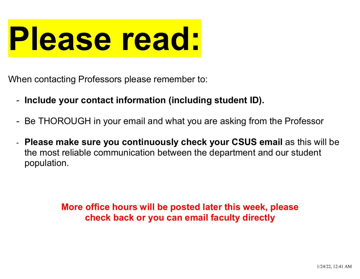# **Please read:**

When contacting Professors please remember to:

- **Include your contact information (including student ID).**
- Be THOROUGH in your email and what you are asking from the Professor
- **Please make sure you continuously check your CSUS email** as this will be the most reliable communication between the department and our student population.

**More office hours will be posted later this week, please check back or you can email faculty directly**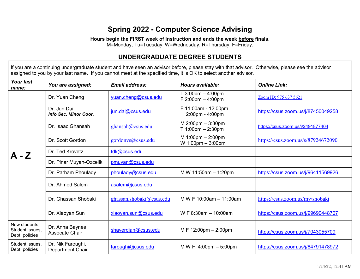# **Spring 2022 - Computer Science Advising**

**Hours begin the FIRST week of Instruction and ends the week before finals.**

M=Monday, Tu=Tuesday, W=Wednesday, R=Thursday, F=Friday.

## **UNDERGRADUATE DEGREE STUDENTS**

If you are a continuing undergraduate student and have seen an advisor before, please stay with that advisor. Otherwise, please see the advisor assigned to you by your last name. If you cannot meet at the specified time, it is OK to select another advisor.

| <b>Your last</b><br>name:                          | You are assigned:                           | <b>Email address:</b>    | Hours available:                                                           | <b>Online Link:</b>                |
|----------------------------------------------------|---------------------------------------------|--------------------------|----------------------------------------------------------------------------|------------------------------------|
|                                                    | Dr. Yuan Cheng                              | yuan.cheng@csus.edu      | $T 3:00 \text{pm} - 4:00 \text{pm}$<br>$F 2:00pm - 4:00pm$                 | Zoom ID: 975 637 5621              |
|                                                    | Dr. Jun Dai<br><b>Info Sec. Minor Coor.</b> | jun.dai@csus.edu         | F 11:00am - 12:00pm<br>2:00pm - 4:00pm                                     | https://csus.zoom.us/j/87450049258 |
|                                                    | Dr. Isaac Ghansah                           | ghansah@csus.edu         | $M$ 2:00pm $-$ 3:30pm<br>T 1:00pm $-$ 2:30pm                               | https://csus.zoom.us/j/2491877404  |
|                                                    | Dr. Scott Gordon                            | gordonys@csus.edu        | M $1:00 \text{pm} - 2:00 \text{pm}$<br>W $1:00 \text{pm} - 3:00 \text{pm}$ | https://csus.zoom.us/s/87924672090 |
| $A - Z$                                            | Dr. Ted Krovetz                             | tdk@csus.edu             |                                                                            |                                    |
|                                                    | Dr. Pinar Muyan-Ozcelik                     | pmuyan@csus.edu          |                                                                            |                                    |
|                                                    | Dr. Parham Phoulady                         | phoulady@csus.edu        | M W 11:50am - 1:20pm                                                       | https://csus.zoom.us/j/96411569926 |
|                                                    | Dr. Ahmed Salem                             | asalem@csus.edu          |                                                                            |                                    |
|                                                    | Dr. Ghassan Shobaki                         | ghassan.shobaki@csus.edu | M W F 10:00am $-$ 11:00am                                                  | https://csus.zoom.us/my/shobaki    |
|                                                    | Dr. Xiaoyan Sun                             | xiaoyan.sun@csus.edu     | W F $8:30$ am $-10:00$ am                                                  | https://csus.zoom.us/j/99690448707 |
| New students.<br>Student issues,<br>Dept. policies | Dr. Anna Baynes<br>Assocate Chair           | shaverdian@csus.edu      | $M F 12:00pm - 2:00pm$                                                     | https://csus.zoom.us/j/7043055709  |
| Student issues.<br>Dept. policies                  | Dr. Nik Faroughi,<br>Department Chair       | faroughi@csus.edu        | M W F $4:00 \text{pm} - 5:00 \text{pm}$                                    | https://csus.zoom.us/j/84791478972 |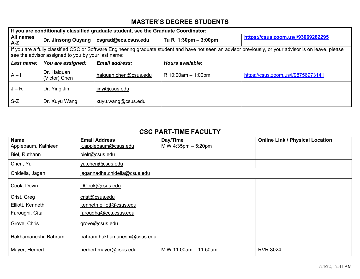### **MASTER'S DEGREE STUDENTS**

| If you are conditionally classified graduate student, see the Graduate Coordinator:                                                                                                                           |                              |                                        |                                        |                                    |  |  |  |
|---------------------------------------------------------------------------------------------------------------------------------------------------------------------------------------------------------------|------------------------------|----------------------------------------|----------------------------------------|------------------------------------|--|--|--|
| All names<br>$A-Z$                                                                                                                                                                                            |                              | Dr. Jinsong Ouyang csgrad@ecs.csus.edu | Tu R $1:30 \text{pm} - 3:00 \text{pm}$ | https://csus.zoom.us/j/93069282295 |  |  |  |
| If you are a fully classified CSC or Software Engineering graduate student and have not seen an advisor previously, or your advisor is on leave, please<br>see the advisor assigned to you by your last name: |                              |                                        |                                        |                                    |  |  |  |
| Last name:                                                                                                                                                                                                    | You are assigned:            | <b>Email address:</b>                  | Hours available:                       |                                    |  |  |  |
| $A - I$                                                                                                                                                                                                       | Dr. Haiquan<br>(Victor) Chen | haiquan.chen@csus.edu                  | $R$ 10:00am $-$ 1:00pm                 | https://csus.zoom.us/j/98756973141 |  |  |  |
| $J - R$                                                                                                                                                                                                       | Dr. Ying Jin                 | jiny@csus.edu                          |                                        |                                    |  |  |  |
| $S-Z$                                                                                                                                                                                                         | Dr. Xuyu Wang                | xuyu.wang@csus.edu                     |                                        |                                    |  |  |  |

#### **CSC PART-TIME FACULTY**

| <b>Name</b>          | <b>Email Address</b>         | Day/Time                 | <b>Online Link / Physical Location</b> |
|----------------------|------------------------------|--------------------------|----------------------------------------|
| Applebaum, Kathleen  | k.applebaum@csus.edu         | M W $4:35$ pm $-5:20$ pm |                                        |
| Biel, Ruthann        | bielr@csus.edu               |                          |                                        |
| Chen, Yu             | yu.chen@csus.edu             |                          |                                        |
| Chidella, Jagan      | jagannadha.chidella@csus.edu |                          |                                        |
| Cook, Devin          | DCook@csus.edu               |                          |                                        |
| Crist, Greg          | crist@csus.edu               |                          |                                        |
| Elliott, Kenneth     | kenneth.elliott@csus.edu     |                          |                                        |
| Faroughi, Gita       | faroughg@ecs.csus.edu        |                          |                                        |
| Grove, Chris         | grove@csus.edu               |                          |                                        |
| Hakhamaneshi, Bahram | bahram.hakhamaneshi@csus.edu |                          |                                        |
| Mayer, Herbert       | herbert.mayer@csus.edu       | M W $11:00am - 11:50am$  | <b>RVR 3024</b>                        |